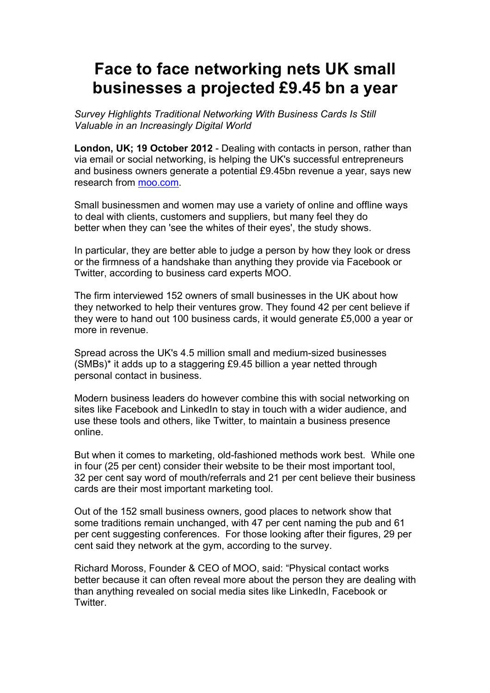## **Face to face networking nets UK small businesses a projected £9.45 bn a year**

*Survey Highlights Traditional Networking With Business Cards Is Still Valuable in an Increasingly Digital World*

**London, UK; 19 October 2012** - Dealing with contacts in person, rather than via email or social networking, is helping the UK's successful entrepreneurs and business owners generate a potential £9.45bn revenue a year, says new research from moo.com.

Small businessmen and women may use a variety of online and offline ways to deal with clients, customers and suppliers, but many feel they do better when they can 'see the whites of their eyes', the study shows.

In particular, they are better able to judge a person by how they look or dress or the firmness of a handshake than anything they provide via Facebook or Twitter, according to business card experts MOO.

The firm interviewed 152 owners of small businesses in the UK about how they networked to help their ventures grow. They found 42 per cent believe if they were to hand out 100 business cards, it would generate £5,000 a year or more in revenue.

Spread across the UK's 4.5 million small and medium-sized businesses (SMBs)\* it adds up to a staggering £9.45 billion a year netted through personal contact in business.

Modern business leaders do however combine this with social networking on sites like Facebook and LinkedIn to stay in touch with a wider audience, and use these tools and others, like Twitter, to maintain a business presence online.

But when it comes to marketing, old-fashioned methods work best. While one in four (25 per cent) consider their website to be their most important tool, 32 per cent say word of mouth/referrals and 21 per cent believe their business cards are their most important marketing tool.

Out of the 152 small business owners, good places to network show that some traditions remain unchanged, with 47 per cent naming the pub and 61 per cent suggesting conferences. For those looking after their figures, 29 per cent said they network at the gym, according to the survey.

Richard Moross, Founder & CEO of MOO, said: "Physical contact works better because it can often reveal more about the person they are dealing with than anything revealed on social media sites like LinkedIn, Facebook or **Twitter**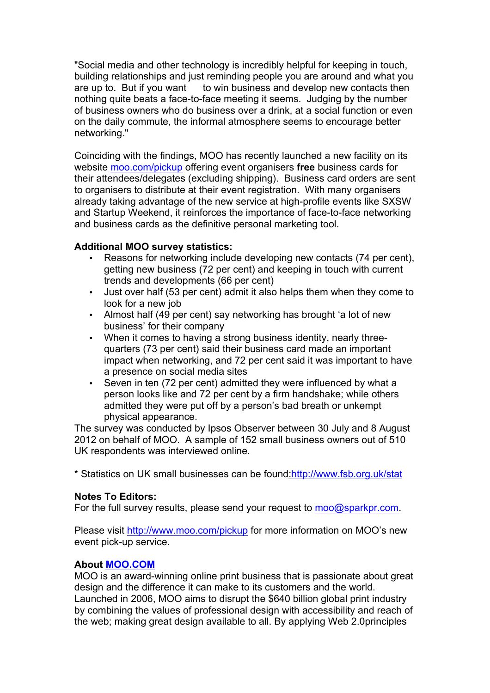"Social media and other technology is incredibly helpful for keeping in touch, building relationships and just reminding people you are around and what you are up to. But if you want to win business and develop new contacts then nothing quite beats a face-to-face meeting it seems. Judging by the number of business owners who do business over a drink, at a social function or even on the daily commute, the informal atmosphere seems to encourage better networking."

Coinciding with the findings, MOO has recently launched a new facility on its website moo.com/pickup offering event organisers **free** business cards for their attendees/delegates (excluding shipping). Business card orders are sent to organisers to distribute at their event registration. With many organisers already taking advantage of the new service at high-profile events like SXSW and Startup Weekend, it reinforces the importance of face-to-face networking and business cards as the definitive personal marketing tool.

## **Additional MOO survey statistics:**

- Reasons for networking include developing new contacts (74 per cent). getting new business (72 per cent) and keeping in touch with current trends and developments (66 per cent)
- Just over half (53 per cent) admit it also helps them when they come to look for a new job
- Almost half (49 per cent) say networking has brought 'a lot of new business' for their company
- When it comes to having a strong business identity, nearly threequarters (73 per cent) said their business card made an important impact when networking, and 72 per cent said it was important to have a presence on social media sites
- Seven in ten (72 per cent) admitted they were influenced by what a person looks like and 72 per cent by a firm handshake; while others admitted they were put off by a person's bad breath or unkempt physical appearance.

The survey was conducted by Ipsos Observer between 30 July and 8 August 2012 on behalf of MOO. A sample of 152 small business owners out of 510 UK respondents was interviewed online.

\* Statistics on UK small businesses can be found:http://www.fsb.org.uk/stat

## **Notes To Editors:**

For the full survey results, please send your request to moo@sparkpr.com.

Please visit http://www.moo.com/pickup for more information on MOO's new event pick-up service.

## **About MOO.COM**

MOO is an award-winning online print business that is passionate about great design and the difference it can make to its customers and the world. Launched in 2006, MOO aims to disrupt the \$640 billion global print industry by combining the values of professional design with accessibility and reach of the web; making great design available to all. By applying Web 2.0principles